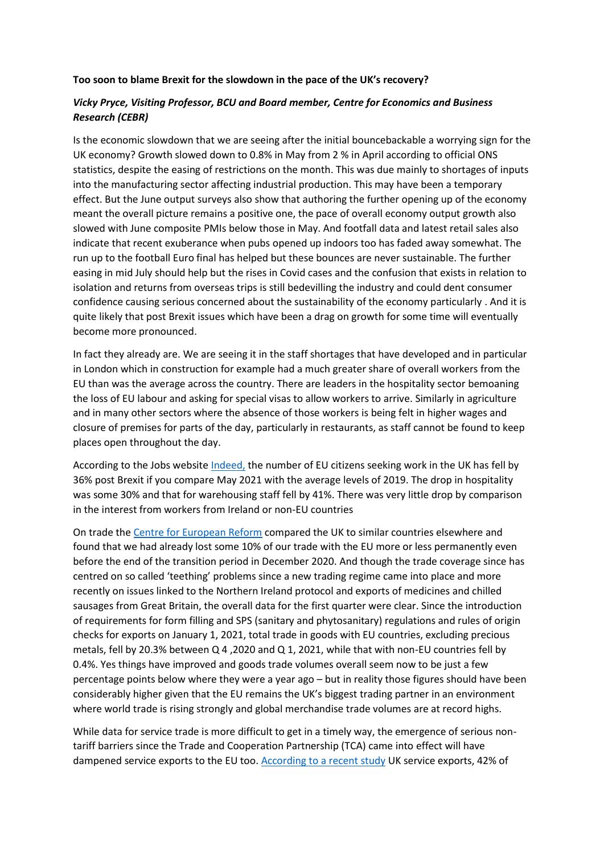## **Too soon to blame Brexit for the slowdown in the pace of the UK's recovery?**

## *Vicky Pryce, Visiting Professor, BCU and Board member, Centre for Economics and Business Research (CEBR)*

Is the economic slowdown that we are seeing after the initial bouncebackable a worrying sign for the UK economy? Growth slowed down to 0.8% in May from 2 % in April according to official ONS statistics, despite the easing of restrictions on the month. This was due mainly to shortages of inputs into the manufacturing sector affecting industrial production. This may have been a temporary effect. But the June output surveys also show that authoring the further opening up of the economy meant the overall picture remains a positive one, the pace of overall economy output growth also slowed with June composite PMIs below those in May. And footfall data and latest retail sales also indicate that recent exuberance when pubs opened up indoors too has faded away somewhat. The run up to the football Euro final has helped but these bounces are never sustainable. The further easing in mid July should help but the rises in Covid cases and the confusion that exists in relation to isolation and returns from overseas trips is still bedevilling the industry and could dent consumer confidence causing serious concerned about the sustainability of the economy particularly . And it is quite likely that post Brexit issues which have been a drag on growth for some time will eventually become more pronounced.

In fact they already are. We are seeing it in the staff shortages that have developed and in particular in London which in construction for example had a much greater share of overall workers from the EU than was the average across the country. There are leaders in the hospitality sector bemoaning the loss of EU labour and asking for special visas to allow workers to arrive. Similarly in agriculture and in many other sectors where the absence of those workers is being felt in higher wages and closure of premises for parts of the day, particularly in restaurants, as staff cannot be found to keep places open throughout the day.

According to the Jobs website *Indeed*, the number of EU citizens seeking work in the UK has fell by 36% post Brexit if you compare May 2021 with the average levels of 2019. The drop in hospitality was some 30% and that for warehousing staff fell by 41%. There was very little drop by comparison in the interest from workers from Ireland or non-EU countries

On trade the [Centre for European Reform](https://www.cer.org.uk/in-the-press/brexit-has-cost-uk-economy-almost-%C2%A316bn-trade-2016-report-finds) compared the UK to similar countries elsewhere and found that we had already lost some 10% of our trade with the EU more or less permanently even before the end of the transition period in December 2020. And though the trade coverage since has centred on so called 'teething' problems since a new trading regime came into place and more recently on issues linked to the Northern Ireland protocol and exports of medicines and chilled sausages from Great Britain, the overall data for the first quarter were clear. Since the introduction of requirements for form filling and SPS (sanitary and phytosanitary) regulations and rules of origin checks for exports on January 1, 2021, total trade in goods with EU countries, excluding precious metals, fell by 20.3% between Q 4 ,2020 and Q 1, 2021, while that with non-EU countries fell by 0.4%. Yes things have improved and goods trade volumes overall seem now to be just a few percentage points below where they were a year ago – but in reality those figures should have been considerably higher given that the EU remains the UK's biggest trading partner in an environment where world trade is rising strongly and global merchandise trade volumes are at record highs.

While data for service trade is more difficult to get in a timely way, the emergence of serious nontariff barriers since the Trade and Cooperation Partnership (TCA) came into effect will have dampened service exports to the EU too. [According to a recent study](https://www.thenational.scot/news/19341429.brexit-caused-uk-service-sector-shrink-110bn/) UK service exports, 42% of